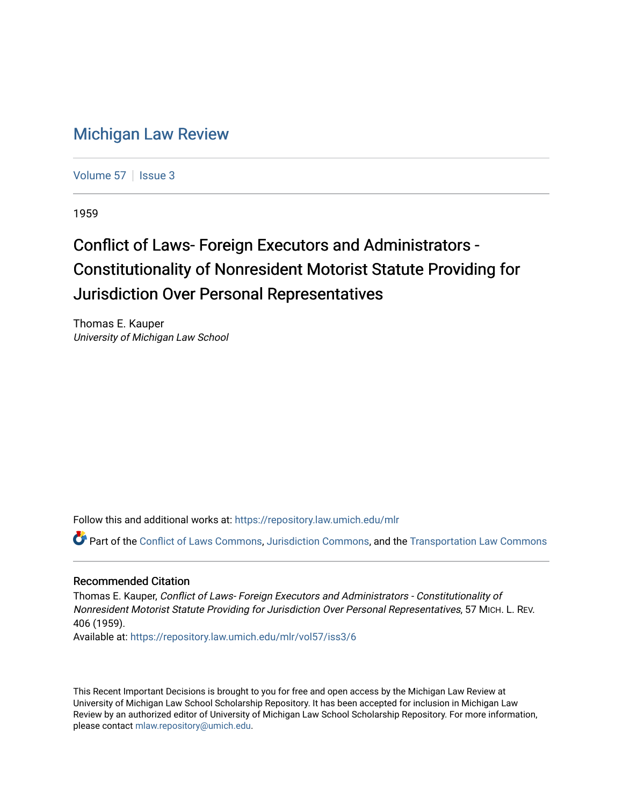## [Michigan Law Review](https://repository.law.umich.edu/mlr)

[Volume 57](https://repository.law.umich.edu/mlr/vol57) | [Issue 3](https://repository.law.umich.edu/mlr/vol57/iss3)

1959

## Conflict of Laws- Foreign Executors and Administrators -Constitutionality of Nonresident Motorist Statute Providing for Jurisdiction Over Personal Representatives

Thomas E. Kauper University of Michigan Law School

Follow this and additional works at: [https://repository.law.umich.edu/mlr](https://repository.law.umich.edu/mlr?utm_source=repository.law.umich.edu%2Fmlr%2Fvol57%2Fiss3%2F6&utm_medium=PDF&utm_campaign=PDFCoverPages) 

Part of the [Conflict of Laws Commons,](http://network.bepress.com/hgg/discipline/588?utm_source=repository.law.umich.edu%2Fmlr%2Fvol57%2Fiss3%2F6&utm_medium=PDF&utm_campaign=PDFCoverPages) [Jurisdiction Commons](http://network.bepress.com/hgg/discipline/850?utm_source=repository.law.umich.edu%2Fmlr%2Fvol57%2Fiss3%2F6&utm_medium=PDF&utm_campaign=PDFCoverPages), and the [Transportation Law Commons](http://network.bepress.com/hgg/discipline/885?utm_source=repository.law.umich.edu%2Fmlr%2Fvol57%2Fiss3%2F6&utm_medium=PDF&utm_campaign=PDFCoverPages) 

## Recommended Citation

Thomas E. Kauper, Conflict of Laws- Foreign Executors and Administrators - Constitutionality of Nonresident Motorist Statute Providing for Jurisdiction Over Personal Representatives, 57 MICH. L. REV. 406 (1959).

Available at: [https://repository.law.umich.edu/mlr/vol57/iss3/6](https://repository.law.umich.edu/mlr/vol57/iss3/6?utm_source=repository.law.umich.edu%2Fmlr%2Fvol57%2Fiss3%2F6&utm_medium=PDF&utm_campaign=PDFCoverPages)

This Recent Important Decisions is brought to you for free and open access by the Michigan Law Review at University of Michigan Law School Scholarship Repository. It has been accepted for inclusion in Michigan Law Review by an authorized editor of University of Michigan Law School Scholarship Repository. For more information, please contact [mlaw.repository@umich.edu.](mailto:mlaw.repository@umich.edu)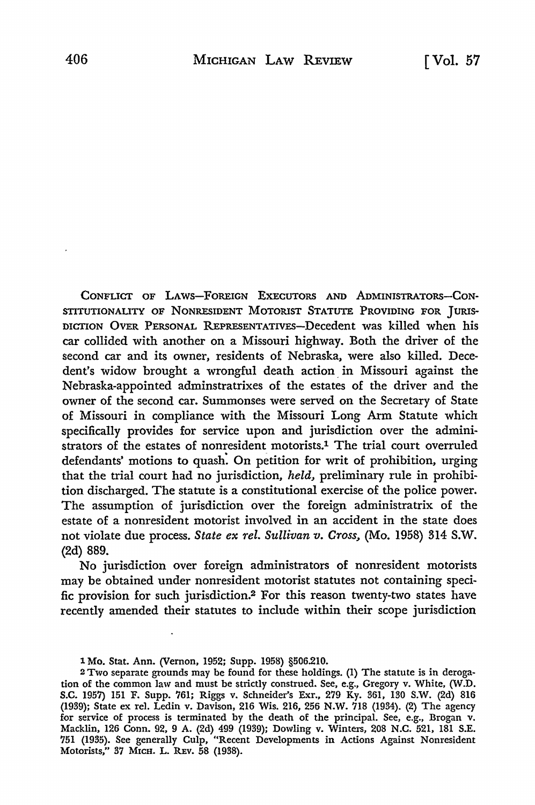CONFLICT OF LAWS-FOREIGN EXECUTORS AND AoMINISTRATORS-CON-STITUTIONALITY OF NONRESIDENT MOTORIST STATUTE PROVIDING FOR JURIS-DICTION OVER PERSONAL REPRESENTATIVES-Decedent was killed when his car collided with another on a Missouri highway. Both the driver of the second car and its owner, residents of Nebraska, were also killed. Decedent's widow brought a wrongful death action. in Missouri against the Nebraska-appointed adminstratrixes of the estates of the driver and the owner of the second car. Summonses were served on the Secretary of State of Missouri in compliance with the Missouri Long Arm Statute which specifically provides for service upon and jurisdiction over the administrators of the estates of nonresident motorists.<sup>1</sup> The trial court overruled defendants' motions to quash: On petition for writ of prohibition, urging that the trial court had no jurisdiction, *held,* preliminary rule in prohibition discharged. The statute is a constitutional exercise of the police power. The assumption of jurisdiction over the foreign administratrix of the estate of a nonresident motorist involved in an accident in the state does not violate due process. *State ex rel. Sullivan v. Cross,* (Mo. 1958) 314 S.W. (2d) 889.

No jurisdiction over foreign administrators of nonresident motorists may be obtained under nonresident motorist statutes not containing specific provision for such jurisdiction.2 For this reason twenty-two states have recently amended their statutes to include within their scope jurisdiction

<sup>1</sup> Mo. Stat. Ann. (Vernon, 1952; Supp. 1958) §506.210.

<sup>2</sup> Two separate grounds may be found for these holdings. (1) The statute is in derogation of the common law and must be strictly construed. See, e.g., Gregory v. White, (W.D. S.C. 1957) 151 F. Supp. 761; Riggs v. Schneider's Exr., 279 Ky. 361, 130 S.W. (2d) 816 (1939); State ex rel. Ledin v. Davison, 216 Wis. 216, 256 N.W. 718 (1934). (2) The agency for service of process is terminated by the death of the principal. See, e.g., Brogan v. Macklin, 126 Conn. 92, 9 A. (2d) 499 (1939); Dowling v. Winters, 208 N.C. 521, 181 S.E. 751 (1935). See generally Culp, "Recent Developments in Actions Against Nonresident Motorists," 37 MICH. L. REv. 58 (1938).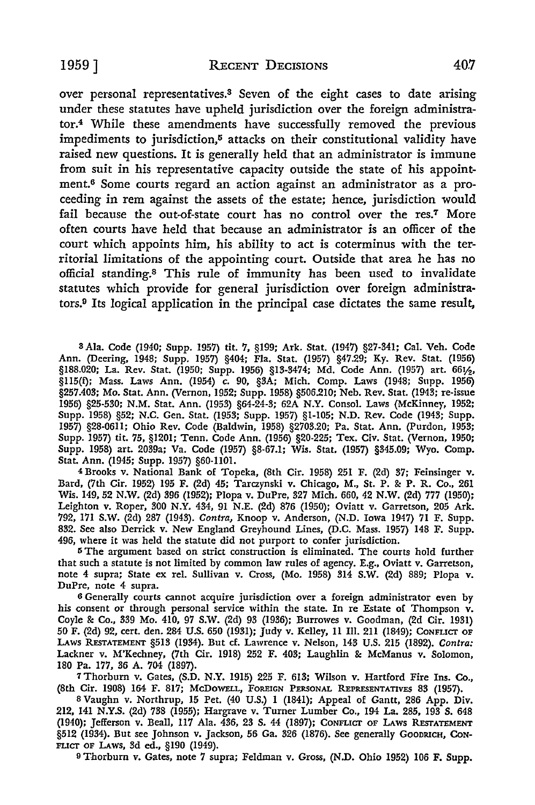over personal representatives.3 Seven of the eight cases to date arising under these statutes have upheld jurisdiction over the foreign administrator.4 While these amendments have successfully removed the previous impediments to jurisdiction,5 attacks on their constitutional validity have raised new questions. It is generally held that an administrator is immune from suit in his representative capacity outside the state of his appointment.6 Some courts regard an action against an administrator as a proceeding in rem against the assets of the estate; hence, jurisdiction would fail because the out-of-state court has no control over the res.7 More often courts have held that because an administrator is an officer of the court which appoints him, his ability to act is coterminus with the territorial limitations of the appointing court. Outside that area he has no official standing.8 This rule of immunity has been used to invalidate statutes which provide for general jurisdiction over foreign administrators.9 Its logical application in the principal case dictates the same result,

s Ala. Code (1940; Supp. 1957) tit. 7, §199; Ark. Stat. (1947) §27-341; Cal. Veh. Code Ann. (Deering, 1948; Supp. 1957) §404; Fla. Stat. (1957) §47.29; Ky. Rev. Stat. (1956) §188.020; La. Rev. Stat. (1950; Supp. 1956) §13-3474: Md. Code Ann. (1957) art. 66½, §115(f); Mass. Laws Ann. (1954) c. 90, §3A; Mich. Comp. Laws (1948; Supp. 1956) §257.403; Mo. Stat. Ann. (Vernon, 1952; Supp. 1958) §506.210; Neb. Rev. Stat. (1943; re-issue 1956) §25-530; N.M. Stat. Ann. (1953) §64-24-3; 62A N.Y. Consol. Laws (McKinney, 1952; Supp. 1958) §52; N.C. Gen. Stat. (1953; Supp. 1957) §1-105; N.D. Rev. Code (1943; Supp. 1957) §28-06ll; Ohio Rev. Code (Baldwin, 1958) §2703.20; Pa. Stat. Ann. (Purdon, 1953; Supp. 1957) tit. 75, §1201; Tenn. Code Ann. (1956) §20-225; Tex. Civ. Stat. (Vernon, 1950; Supp. 1958) art. 2039a; Va. Code (1957) §8-67.1; Wis. Stat. (1957) §345.09; Wyo. Comp. Stat. Ann. (1945; Supp. 1957) §60-1101.

4 Brooks v. National Bank of Topeka, (8th Cir. 1958) 251 F. (2d) 37; Feinsinger v. Bard, (7th Cir. 1952) 195 F. (2d) 45; Tarczynski v. Chicago, M., St. P. & P. R. Co., 261 Wis. 149, 52 N.W. (2d) 396 (1952); Plopa v. DuPre, 327 Mich. 660, 42 N.W. (2d) 777 (1950); Leighton v. Roper, 300 N.Y. 434, 91 N.E. (2d) 876 (1950); Oviatt v. Garretson, 205 Ark. 792, 171 S.W. (2d) 287 (1943). *Contra,* Knoop v. Anderson, (N.D. Iowa 1947) 71 F. Supp. 832. See also Derrick v. New England Greyhound Lines, (D.C. Mass. 1957) 148 F. Supp. 496, where it was held the statute did not purport to confer jurisdiction.

<sup>5</sup>The argument based on strict construction is eliminated. The courts hold further that such a statute is not limited by common law rules of agency. E.g., Oviatt v. Garretson, note 4 supra: State ex rel. Sullivan v. Cross, (Mo. 1958) 314 S.W. (2d) 889; Plopa v. DuPre, note 4 supra.

6 Generally courts cannot acquire jurisdiction over a foreign administrator even by his consent or through personal service within the state. In re Estate of Thompson  $v$ . Coyle &: Co., 339 Mo. 410, 97 S.W. (2d) 93 (1936); Burrowes v. Goodman, (2d Cir. 1931) 50 F. (2d) 92, cert. den. 284 U.S. 650 (1931); Judy v. Kelley, 11 Ill. 211 (1849); CoNFLict OF LAWS RESTATEMENT §513 (1934). But cf. Lawrence v. Nelson, 143 U.S. 215 (1892). *Contra:* Lackner v. M'Kechney, (7th Cir. 1918) 252 F. 403; Laughlin & McManus v. Solomon, 180 Pa. 177, 36 A. 704 (1897).

7Thorburn v. Gates, (S.D. N.Y. 1915) 225 F. 613; Wilson v. Hartford Fire Ins. Co., (8th Cir. 1908) 164 F. 817; McDOWELL, FOREIGN PERSONAL REPRESENTATIVES 83 (1957).

8 Vaughn v. Northrup, 15 Pet. (40 U.S.) 1 (1841); Appeal of Gantt, 286 App. Div. 212, 141 N.Y.S. (2d) 738 (1955); Hargrave v. Turner Lumber Co., 194 La. 285, 193 S. 648 (1940): Jefferson v. Beall, 117 Ala. 436, 23 s. 44 (1897): CoNFLicr OF LAWS RESTATEMENT §512 (1934). But see Johnson v. Jackson, 56 Ga. 326 (1876). See generally Goodrich, Con-FLicr OF LAws, 3d ed., §190 (1949).

9 Thorburn v. Gates, note 7 supra; Feldman v. Gross, (N.D. Ohio 1952) 106 F. Supp.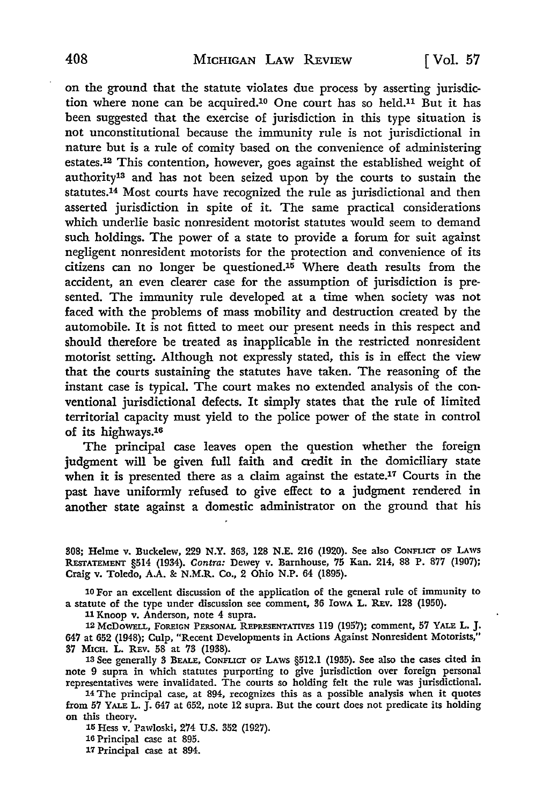on the ground that the statute violates due process by asserting jurisdiction where none can be acquired.10 One court has so held.11 But it has been suggested that the exercise of jurisdiction in this type situation is not unconstitutional because the immunity rule is not jurisdictional in nature but is a rule of comity based on the convenience of administering estates.12 This contention, however, goes against the established weight of authority13 and has not been seized upon by the courts to sustain the statutes.14 Most courts have recognized the rule as jurisdictional and then asserted jurisdiction in spite of it. The same practical considerations which underlie basic nonresident motorist statutes would seem to demand such holdings. The power of a state to provide a forum for suit against negligent nonresident motorists for the protection and convenience of its citizens can no longer be questioned.15 Where death results from the accident, an even clearer case for the assumption of jurisdiction is presented. The immunity rule developed at a time when society was not faced with the problems of mass mobility and destruction created by the automobile. It is not fitted to meet our present needs in this respect and should therefore be treated as inapplicable in the restricted nonresident motorist setting. Although not expressly stated, this is in effect the view that the courts sustaining the statutes have taken. The reasoning of the instant case is typical. The court makes no extended analysis of the conventional jurisdictional defects. It simply states that the rule of limited territorial capacity must yield to the police power of the state in control of its highways.1a

The principal case leaves open the question whether the foreign judgment will be given full faith and credit in the domiciliary state when it is presented there as a claim against the estate.17 Courts in the past have uniformly refused to give effect to a judgment rendered in another state against a domestic administrator on the ground that his

308; Helme v. Buckelew, 229 N.Y. 363, 128 N.E. 216 (1920). See also CONFLICT OF LAWS REsrATEMENT §514 (1934). Contra: Dewey v. Barnhouse, 75 Kan. 214, 88 P. 877 (1907); Craig v. Toledo, A.A. &: N.M.R. Co., 2 Ohio N.P. 64 (1895).

10 For an excellent discussion of the application of the general rule of immunity to a statute of the type under discussion see comment, 36 IowA L. REv. 128 (1950).

11 Knoop v. Anderson, note 4 supra.

12 McDOWELL, FOREIGN PERSONAL REPRESENTATIVES 119 (1957): comment, 57 YALE L. J. 647 at 652 (1948); Culp, "Recent Developments in Actions Against Nonresident Motorists," 37 Mica. L. REv. 58 at 73 (1938).

13 See generally 3 BEALE, CONFLICT OF LAWS §512.1 (1935). See also the cases cited in note 9 supra in which statutes purporting to give jurisdiction over foreign personal representatives were invalidated. The courts so holding felt the rule was jurisdictional.

14 The principal case, at 894, recognizes this as a possible analysis when it quotes from 57 YALE L. J. 647 at 652, note 12 supra. But the court does not predicate its holding on this theorv.

15 Hess v.' Pawloski, 274 U.S. 352 (1927).

16 Principal case at 895.

17 Principal case at 894.